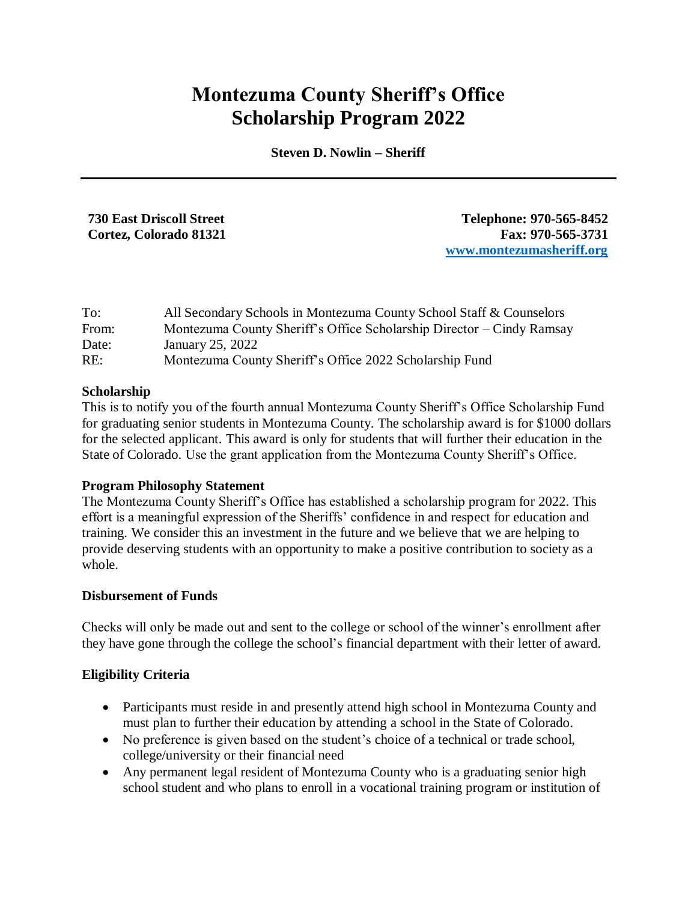# **Montezuma County Sheriff's Office Scholarship Program 2022**

**Steven D. Nowlin – Sheriff**

**730 East Driscoll Street Telephone: 970-565-8452 Cortez, Colorado 81321 Fax: 970-565-3731 [www.montezumasheriff.org](http://www.montezumasheriff.org/)**

| To:   | All Secondary Schools in Montezuma County School Staff & Counselors   |
|-------|-----------------------------------------------------------------------|
| From: | Montezuma County Sheriff's Office Scholarship Director – Cindy Ramsay |
| Date: | January 25, 2022                                                      |
| RE:   | Montezuma County Sheriff's Office 2022 Scholarship Fund               |

#### **Scholarship**

This is to notify you of the fourth annual Montezuma County Sheriff's Office Scholarship Fund for graduating senior students in Montezuma County. The scholarship award is for \$1000 dollars for the selected applicant. This award is only for students that will further their education in the State of Colorado. Use the grant application from the Montezuma County Sheriff's Office.

#### **Program Philosophy Statement**

The Montezuma County Sheriff's Office has established a scholarship program for 2022. This effort is a meaningful expression of the Sheriffs' confidence in and respect for education and training. We consider this an investment in the future and we believe that we are helping to provide deserving students with an opportunity to make a positive contribution to society as a whole.

#### **Disbursement of Funds**

Checks will only be made out and sent to the college or school of the winner's enrollment after they have gone through the college the school's financial department with their letter of award.

#### **Eligibility Criteria**

- Participants must reside in and presently attend high school in Montezuma County and must plan to further their education by attending a school in the State of Colorado.
- No preference is given based on the student's choice of a technical or trade school, college/university or their financial need
- Any permanent legal resident of Montezuma County who is a graduating senior high school student and who plans to enroll in a vocational training program or institution of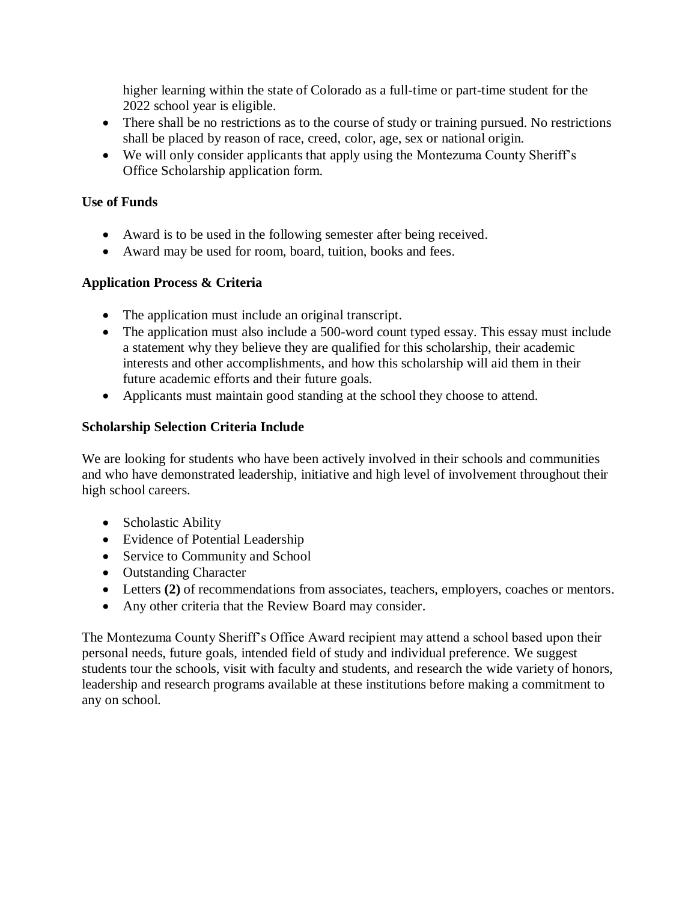higher learning within the state of Colorado as a full-time or part-time student for the 2022 school year is eligible.

- There shall be no restrictions as to the course of study or training pursued. No restrictions shall be placed by reason of race, creed, color, age, sex or national origin.
- We will only consider applicants that apply using the Montezuma County Sheriff's Office Scholarship application form.

# **Use of Funds**

- Award is to be used in the following semester after being received.
- Award may be used for room, board, tuition, books and fees.

### **Application Process & Criteria**

- The application must include an original transcript.
- The application must also include a 500-word count typed essay. This essay must include a statement why they believe they are qualified for this scholarship, their academic interests and other accomplishments, and how this scholarship will aid them in their future academic efforts and their future goals.
- Applicants must maintain good standing at the school they choose to attend.

### **Scholarship Selection Criteria Include**

We are looking for students who have been actively involved in their schools and communities and who have demonstrated leadership, initiative and high level of involvement throughout their high school careers.

- Scholastic Ability
- Evidence of Potential Leadership
- Service to Community and School
- Outstanding Character
- Letters (2) of recommendations from associates, teachers, employers, coaches or mentors.
- Any other criteria that the Review Board may consider.

The Montezuma County Sheriff's Office Award recipient may attend a school based upon their personal needs, future goals, intended field of study and individual preference. We suggest students tour the schools, visit with faculty and students, and research the wide variety of honors, leadership and research programs available at these institutions before making a commitment to any on school.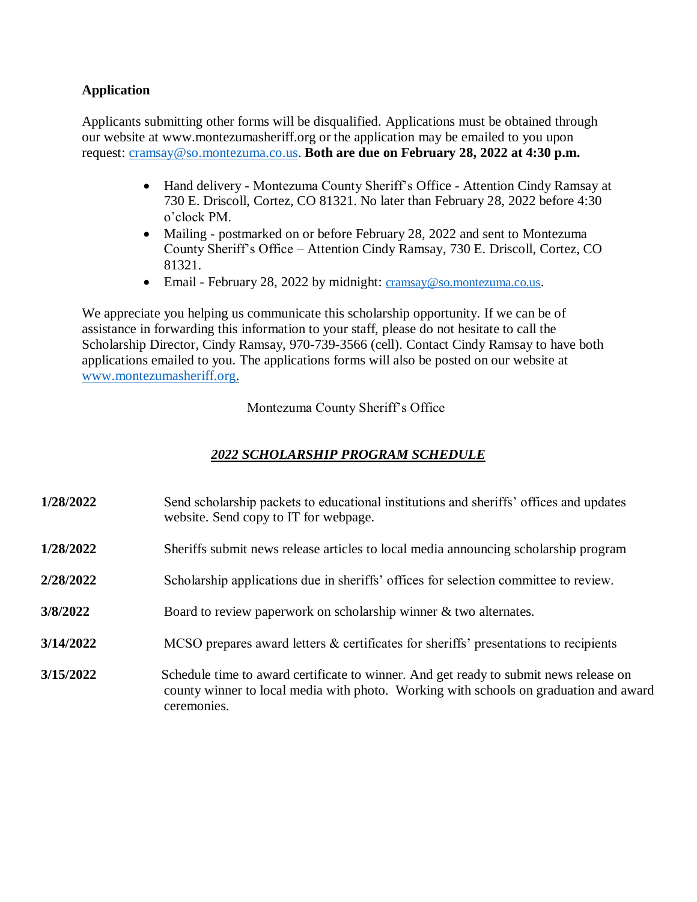# **Application**

Applicants submitting other forms will be disqualified. Applications must be obtained through our website at www.montezumasheriff.org or the application may be emailed to you upon request: [cramsay@so.montezuma.co.us.](mailto:cramsay@so.montezuma.co.us) **Both are due on February 28, 2022 at 4:30 p.m.**

- Hand delivery Montezuma County Sheriff's Office Attention Cindy Ramsay at 730 E. Driscoll, Cortez, CO 81321. No later than February 28, 2022 before 4:30 o'clock PM.
- Mailing postmarked on or before February 28, 2022 and sent to Montezuma County Sheriff's Office – Attention Cindy Ramsay, 730 E. Driscoll, Cortez, CO 81321.
- Email February 28, 2022 by midnight: [cramsay@so.montezuma.co.us](mailto:cramsay@so.montezuma.co.us).

We appreciate you helping us communicate this scholarship opportunity. If we can be of assistance in forwarding this information to your staff, please do not hesitate to call the Scholarship Director, Cindy Ramsay, 970-739-3566 (cell). Contact Cindy Ramsay to have both applications emailed to you. The applications forms will also be posted on our website at [www.montezumasheriff.org.](http://www.montezumasheriff.org/)

Montezuma County Sheriff's Office

# *2022 SCHOLARSHIP PROGRAM SCHEDULE*

- **1/28/2022** Send scholarship packets to educational institutions and sheriffs' offices and updates website. Send copy to IT for webpage.
- **1/28/2022** Sheriffs submit news release articles to local media announcing scholarship program
- **2/28/2022** Scholarship applications due in sheriffs' offices for selection committee to review.
- **3/8/2022** Board to review paperwork on scholarship winner & two alternates.
- **3/14/2022** MCSO prepares award letters & certificates for sheriffs' presentations to recipients
- **3/15/2022** Schedule time to award certificate to winner. And get ready to submit news release on county winner to local media with photo. Working with schools on graduation and award ceremonies.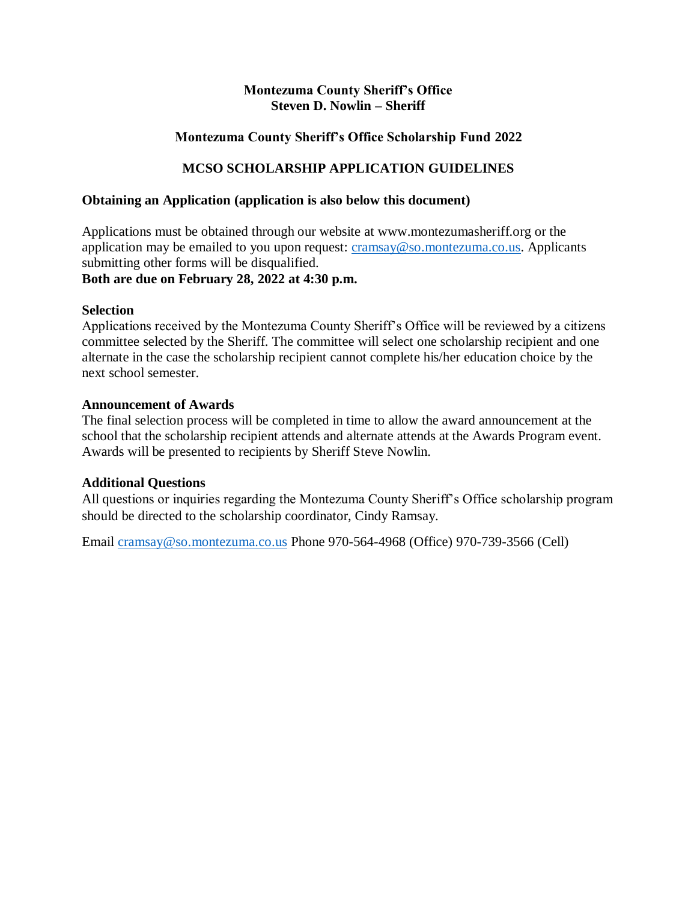### **Montezuma County Sheriff's Office Steven D. Nowlin – Sheriff**

# **Montezuma County Sheriff's Office Scholarship Fund 2022**

# **MCSO SCHOLARSHIP APPLICATION GUIDELINES**

#### **Obtaining an Application (application is also below this document)**

Applications must be obtained through our website at www.montezumasheriff.org or the application may be emailed to you upon request: [cramsay@so.montezuma.co.us.](mailto:cramsay@so.montezuma.co.us) Applicants submitting other forms will be disqualified.

# **Both are due on February 28, 2022 at 4:30 p.m.**

#### **Selection**

Applications received by the Montezuma County Sheriff's Office will be reviewed by a citizens committee selected by the Sheriff. The committee will select one scholarship recipient and one alternate in the case the scholarship recipient cannot complete his/her education choice by the next school semester.

#### **Announcement of Awards**

The final selection process will be completed in time to allow the award announcement at the school that the scholarship recipient attends and alternate attends at the Awards Program event. Awards will be presented to recipients by Sheriff Steve Nowlin.

#### **Additional Questions**

All questions or inquiries regarding the Montezuma County Sheriff's Office scholarship program should be directed to the scholarship coordinator, Cindy Ramsay.

Email [cramsay@so.montezuma.co.us](mailto:cramsay@so.montezuma.co.us) Phone 970-564-4968 (Office) 970-739-3566 (Cell)